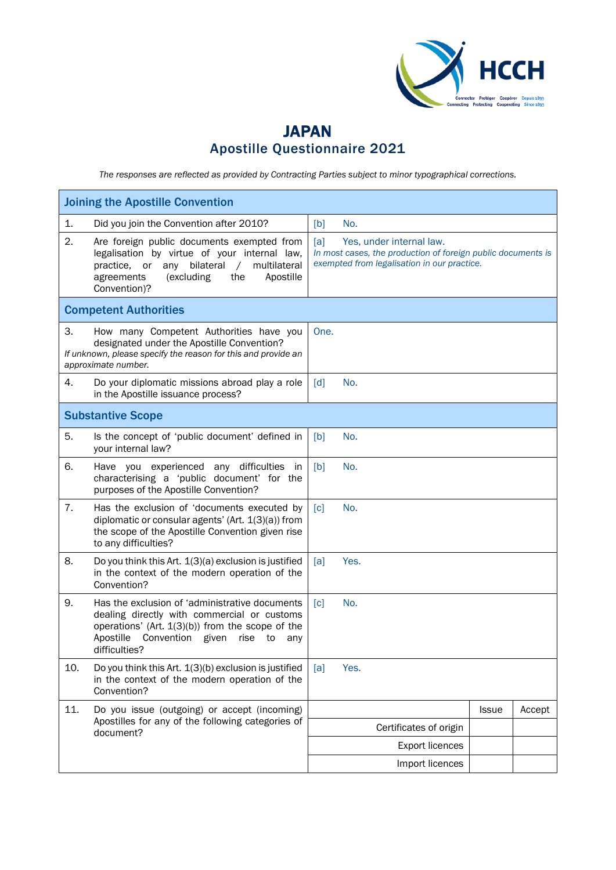

## JAPAN Apostille Questionnaire 2021

*The responses are reflected as provided by Contracting Parties subject to minor typographical corrections.*

| <b>Joining the Apostille Convention</b> |                                                                                                                                                                                                                                 |                   |      |                                                                                                                                         |              |        |
|-----------------------------------------|---------------------------------------------------------------------------------------------------------------------------------------------------------------------------------------------------------------------------------|-------------------|------|-----------------------------------------------------------------------------------------------------------------------------------------|--------------|--------|
| 1.                                      | Did you join the Convention after 2010?                                                                                                                                                                                         | [b]               | No.  |                                                                                                                                         |              |        |
| 2.                                      | Are foreign public documents exempted from<br>legalisation by virtue of your internal law,<br>bilateral<br>multilateral<br>practice,<br>or<br>any<br>$\sqrt{2}$<br>(excluding<br>Apostille<br>agreements<br>the<br>Convention)? | [a]               |      | Yes, under internal law.<br>In most cases, the production of foreign public documents is<br>exempted from legalisation in our practice. |              |        |
|                                         | <b>Competent Authorities</b>                                                                                                                                                                                                    |                   |      |                                                                                                                                         |              |        |
| 3.                                      | How many Competent Authorities have you<br>designated under the Apostille Convention?<br>If unknown, please specify the reason for this and provide an<br>approximate number.                                                   | One.              |      |                                                                                                                                         |              |        |
| 4.                                      | Do your diplomatic missions abroad play a role<br>in the Apostille issuance process?                                                                                                                                            | [d]               | No.  |                                                                                                                                         |              |        |
|                                         | <b>Substantive Scope</b>                                                                                                                                                                                                        |                   |      |                                                                                                                                         |              |        |
| 5.                                      | Is the concept of 'public document' defined in<br>your internal law?                                                                                                                                                            | [b]               | No.  |                                                                                                                                         |              |        |
| 6.                                      | Have you experienced any difficulties in<br>characterising a 'public document' for the<br>purposes of the Apostille Convention?                                                                                                 | [b]               | No.  |                                                                                                                                         |              |        |
| 7.                                      | Has the exclusion of 'documents executed by<br>diplomatic or consular agents' (Art. $1(3)(a)$ ) from<br>the scope of the Apostille Convention given rise<br>to any difficulties?                                                | $\lceil c \rceil$ | No.  |                                                                                                                                         |              |        |
| 8.                                      | Do you think this Art. $1(3)(a)$ exclusion is justified<br>in the context of the modern operation of the<br>Convention?                                                                                                         | [a]               | Yes. |                                                                                                                                         |              |        |
| 9.                                      | Has the exclusion of 'administrative documents<br>dealing directly with commercial or customs<br>operations' (Art. $1(3)(b)$ ) from the scope of the<br>Apostille<br>Convention given<br>rise<br>to<br>any<br>difficulties?     | $\lceil c \rceil$ | No.  |                                                                                                                                         |              |        |
| 10.                                     | Do you think this Art. 1(3)(b) exclusion is justified<br>in the context of the modern operation of the<br>Convention?                                                                                                           | [a]               | Yes. |                                                                                                                                         |              |        |
| 11.                                     | Do you issue (outgoing) or accept (incoming)                                                                                                                                                                                    |                   |      |                                                                                                                                         | <b>Issue</b> | Accept |
|                                         | Apostilles for any of the following categories of<br>document?                                                                                                                                                                  |                   |      | Certificates of origin                                                                                                                  |              |        |
|                                         |                                                                                                                                                                                                                                 |                   |      | <b>Export licences</b>                                                                                                                  |              |        |
|                                         |                                                                                                                                                                                                                                 |                   |      | Import licences                                                                                                                         |              |        |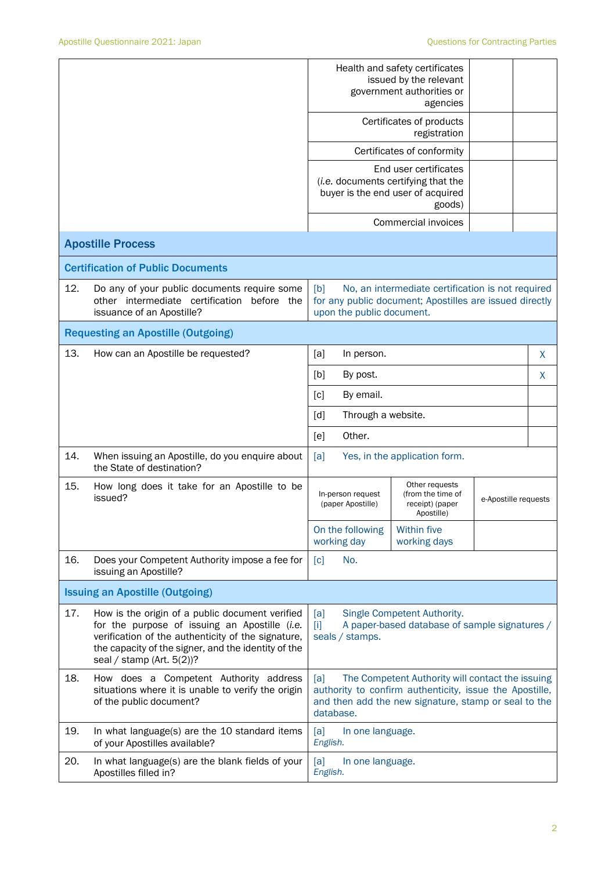|                                        |                                                                                                                                                                                                                                               | Health and safety certificates<br>issued by the relevant<br>government authorities or<br>agencies                                                                                       |                                                                                                              |                      |   |
|----------------------------------------|-----------------------------------------------------------------------------------------------------------------------------------------------------------------------------------------------------------------------------------------------|-----------------------------------------------------------------------------------------------------------------------------------------------------------------------------------------|--------------------------------------------------------------------------------------------------------------|----------------------|---|
|                                        |                                                                                                                                                                                                                                               | Certificates of products<br>registration                                                                                                                                                |                                                                                                              |                      |   |
|                                        |                                                                                                                                                                                                                                               | Certificates of conformity                                                                                                                                                              |                                                                                                              |                      |   |
|                                        |                                                                                                                                                                                                                                               | End user certificates<br>(i.e. documents certifying that the<br>buyer is the end user of acquired<br>goods)                                                                             |                                                                                                              |                      |   |
|                                        |                                                                                                                                                                                                                                               |                                                                                                                                                                                         | <b>Commercial invoices</b>                                                                                   |                      |   |
|                                        | <b>Apostille Process</b>                                                                                                                                                                                                                      |                                                                                                                                                                                         |                                                                                                              |                      |   |
|                                        | <b>Certification of Public Documents</b>                                                                                                                                                                                                      |                                                                                                                                                                                         |                                                                                                              |                      |   |
| 12.                                    | Do any of your public documents require some<br>other intermediate certification before the<br>issuance of an Apostille?                                                                                                                      | [b]<br>upon the public document.                                                                                                                                                        | No, an intermediate certification is not required<br>for any public document; Apostilles are issued directly |                      |   |
|                                        | <b>Requesting an Apostille (Outgoing)</b>                                                                                                                                                                                                     |                                                                                                                                                                                         |                                                                                                              |                      |   |
| 13.                                    | How can an Apostille be requested?                                                                                                                                                                                                            | [a]<br>In person.                                                                                                                                                                       |                                                                                                              |                      | X |
|                                        |                                                                                                                                                                                                                                               | [b]<br>By post.                                                                                                                                                                         |                                                                                                              |                      | X |
|                                        |                                                                                                                                                                                                                                               | $\lceil c \rceil$<br>By email.                                                                                                                                                          |                                                                                                              |                      |   |
|                                        |                                                                                                                                                                                                                                               | Through a website.<br>$\lceil d \rceil$                                                                                                                                                 |                                                                                                              |                      |   |
|                                        |                                                                                                                                                                                                                                               | Other.<br>[e]                                                                                                                                                                           |                                                                                                              |                      |   |
| 14.                                    | When issuing an Apostille, do you enquire about<br>the State of destination?                                                                                                                                                                  | [a]<br>Yes, in the application form.                                                                                                                                                    |                                                                                                              |                      |   |
| 15.                                    | How long does it take for an Apostille to be<br>issued?                                                                                                                                                                                       | In-person request<br>(paper Apostille)                                                                                                                                                  | Other requests<br>(from the time of<br>receipt) (paper<br>Apostille)                                         | e-Apostille requests |   |
|                                        |                                                                                                                                                                                                                                               | On the following<br>working day                                                                                                                                                         | <b>Within five</b><br>working days                                                                           |                      |   |
| 16.                                    | Does your Competent Authority impose a fee for<br>issuing an Apostille?                                                                                                                                                                       | No.<br>[c]                                                                                                                                                                              |                                                                                                              |                      |   |
| <b>Issuing an Apostille (Outgoing)</b> |                                                                                                                                                                                                                                               |                                                                                                                                                                                         |                                                                                                              |                      |   |
| 17.                                    | How is the origin of a public document verified<br>for the purpose of issuing an Apostille (i.e.<br>verification of the authenticity of the signature,<br>the capacity of the signer, and the identity of the<br>seal / stamp (Art. $5(2)$ )? | Single Competent Authority.<br>[a]<br>A paper-based database of sample signatures /<br>$[1]$<br>seals / stamps.                                                                         |                                                                                                              |                      |   |
| 18.                                    | How does a Competent Authority address<br>situations where it is unable to verify the origin<br>of the public document?                                                                                                                       | The Competent Authority will contact the issuing<br>[a]<br>authority to confirm authenticity, issue the Apostille,<br>and then add the new signature, stamp or seal to the<br>database. |                                                                                                              |                      |   |
| 19.                                    | In what language(s) are the 10 standard items<br>of your Apostilles available?                                                                                                                                                                | [a]<br>In one language.<br>English.                                                                                                                                                     |                                                                                                              |                      |   |
| 20.                                    | In what language(s) are the blank fields of your<br>Apostilles filled in?                                                                                                                                                                     | [a]<br>In one language.<br>English.                                                                                                                                                     |                                                                                                              |                      |   |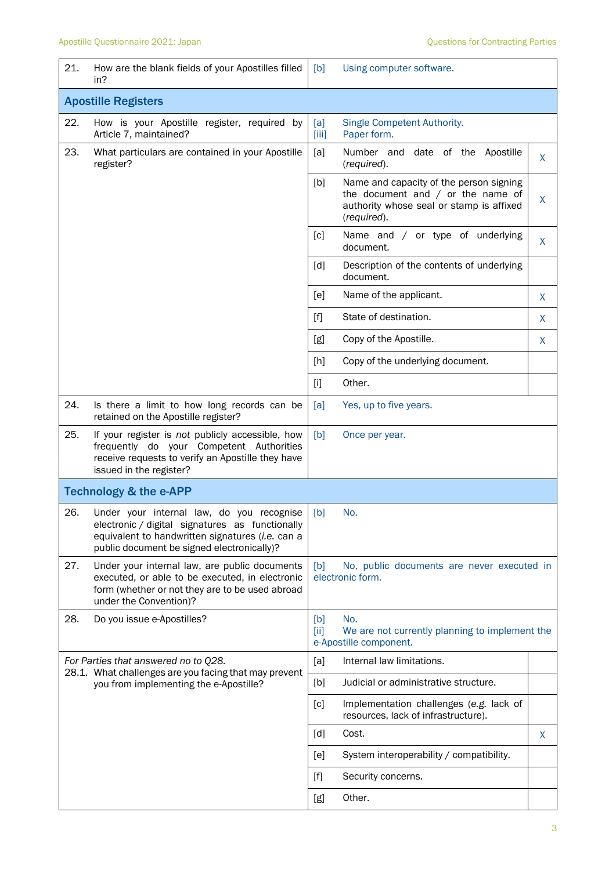| 21.                               | How are the blank fields of your Apostilles filled<br>in?                                                                                                                                      | [b]                                                                                             | Using computer software.                                                                                                                  |   |  |
|-----------------------------------|------------------------------------------------------------------------------------------------------------------------------------------------------------------------------------------------|-------------------------------------------------------------------------------------------------|-------------------------------------------------------------------------------------------------------------------------------------------|---|--|
| <b>Apostille Registers</b>        |                                                                                                                                                                                                |                                                                                                 |                                                                                                                                           |   |  |
| 22.                               | How is your Apostille register, required by<br>Article 7, maintained?                                                                                                                          | [a]<br>[iii]                                                                                    | Single Competent Authority.<br>Paper form.                                                                                                |   |  |
| 23.                               | What particulars are contained in your Apostille<br>register?                                                                                                                                  | [a]                                                                                             | Number and date of the Apostille<br>(required).                                                                                           | X |  |
|                                   |                                                                                                                                                                                                | [b]                                                                                             | Name and capacity of the person signing<br>the document and $/$ or the name of<br>authority whose seal or stamp is affixed<br>(required). | X |  |
|                                   |                                                                                                                                                                                                | [c]                                                                                             | Name and / or type of underlying<br>document.                                                                                             | X |  |
|                                   |                                                                                                                                                                                                | [d]                                                                                             | Description of the contents of underlying<br>document.                                                                                    |   |  |
|                                   |                                                                                                                                                                                                | [e]                                                                                             | Name of the applicant.                                                                                                                    | X |  |
|                                   |                                                                                                                                                                                                | $[f]$                                                                                           | State of destination.                                                                                                                     | X |  |
|                                   |                                                                                                                                                                                                | [g]                                                                                             | Copy of the Apostille.                                                                                                                    | X |  |
|                                   |                                                                                                                                                                                                | [h]                                                                                             | Copy of the underlying document.                                                                                                          |   |  |
|                                   |                                                                                                                                                                                                | $[1]$                                                                                           | Other.                                                                                                                                    |   |  |
| 24.                               | Is there a limit to how long records can be<br>retained on the Apostille register?                                                                                                             | [a]                                                                                             | Yes, up to five years.                                                                                                                    |   |  |
| 25.                               | If your register is not publicly accessible, how<br>frequently do your Competent Authorities<br>receive requests to verify an Apostille they have<br>issued in the register?                   | [b]<br>Once per year.                                                                           |                                                                                                                                           |   |  |
| <b>Technology &amp; the e-APP</b> |                                                                                                                                                                                                |                                                                                                 |                                                                                                                                           |   |  |
| 26.                               | Under your internal law, do you recognise<br>electronic / digital signatures as functionally<br>equivalent to handwritten signatures (i.e. can a<br>public document be signed electronically)? | [b]                                                                                             | No.                                                                                                                                       |   |  |
| 27.                               | Under your internal law, are public documents<br>executed, or able to be executed, in electronic<br>form (whether or not they are to be used abroad<br>under the Convention)?                  | No, public documents are never executed in<br>[b]<br>electronic form.                           |                                                                                                                                           |   |  |
| 28.                               | Do you issue e-Apostilles?                                                                                                                                                                     | No.<br>[b]<br>[iii]<br>We are not currently planning to implement the<br>e-Apostille component. |                                                                                                                                           |   |  |
|                                   | For Parties that answered no to Q28.<br>28.1. What challenges are you facing that may prevent<br>you from implementing the e-Apostille?                                                        | [a]                                                                                             | Internal law limitations.                                                                                                                 |   |  |
|                                   |                                                                                                                                                                                                | [b]                                                                                             | Judicial or administrative structure.                                                                                                     |   |  |
|                                   |                                                                                                                                                                                                | [c]                                                                                             | Implementation challenges (e.g. lack of<br>resources, lack of infrastructure).                                                            |   |  |
|                                   |                                                                                                                                                                                                | $\lceil d \rceil$                                                                               | Cost.                                                                                                                                     | X |  |
|                                   |                                                                                                                                                                                                | [e]                                                                                             | System interoperability / compatibility.                                                                                                  |   |  |
|                                   |                                                                                                                                                                                                | $[f]$                                                                                           | Security concerns.                                                                                                                        |   |  |
|                                   |                                                                                                                                                                                                | [g]                                                                                             | Other.                                                                                                                                    |   |  |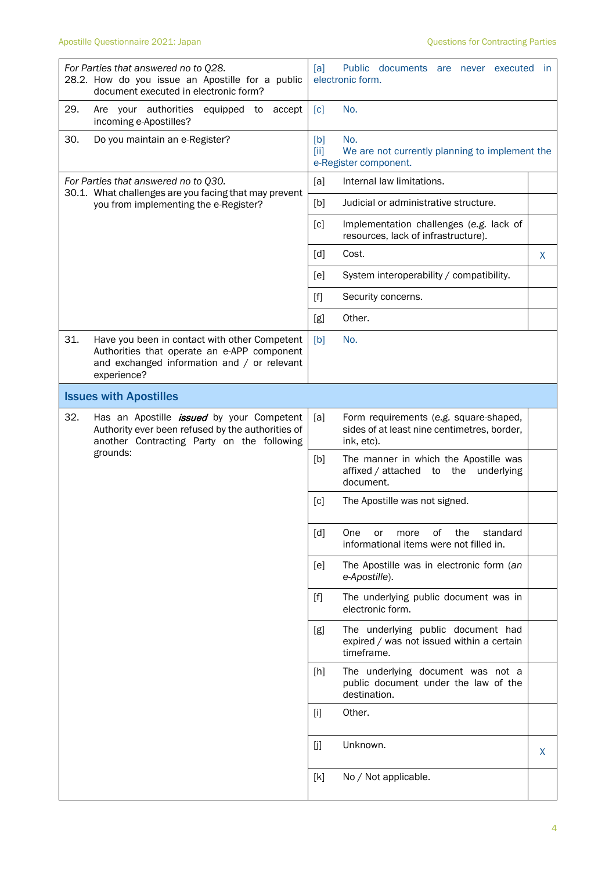| For Parties that answered no to Q28.<br>28.2. How do you issue an Apostille for a public<br>document executed in electronic form?                                 | Public documents are never executed<br>[a]<br>- in<br>electronic form.                                     |  |  |
|-------------------------------------------------------------------------------------------------------------------------------------------------------------------|------------------------------------------------------------------------------------------------------------|--|--|
| 29.<br>Are your authorities<br>equipped to<br>accept<br>incoming e-Apostilles?                                                                                    | [c]<br>No.                                                                                                 |  |  |
| 30.<br>Do you maintain an e-Register?                                                                                                                             | No.<br>[b]<br>[iii]<br>We are not currently planning to implement the<br>e-Register component.             |  |  |
| For Parties that answered no to Q30.                                                                                                                              | Internal law limitations.<br>[a]                                                                           |  |  |
| 30.1. What challenges are you facing that may prevent<br>you from implementing the e-Register?                                                                    | Judicial or administrative structure.<br>[b]                                                               |  |  |
|                                                                                                                                                                   | $\lceil c \rceil$<br>Implementation challenges (e.g. lack of<br>resources, lack of infrastructure).        |  |  |
|                                                                                                                                                                   | [d]<br>Cost.<br>X                                                                                          |  |  |
|                                                                                                                                                                   | System interoperability / compatibility.<br>[e]                                                            |  |  |
|                                                                                                                                                                   | $[f]$<br>Security concerns.                                                                                |  |  |
|                                                                                                                                                                   | Other.<br>[g]                                                                                              |  |  |
| 31.<br>Have you been in contact with other Competent<br>Authorities that operate an e-APP component<br>and exchanged information and / or relevant<br>experience? | [b]<br>No.                                                                                                 |  |  |
| <b>Issues with Apostilles</b>                                                                                                                                     |                                                                                                            |  |  |
| 32.<br>Has an Apostille <i>issued</i> by your Competent<br>Authority ever been refused by the authorities of<br>another Contracting Party on the following        | [a]<br>Form requirements (e.g. square-shaped,<br>sides of at least nine centimetres, border,<br>ink, etc). |  |  |
| grounds:                                                                                                                                                          | The manner in which the Apostille was<br>[b]<br>affixed / attached<br>to the underlying<br>document.       |  |  |
|                                                                                                                                                                   | [c]<br>The Apostille was not signed.                                                                       |  |  |
|                                                                                                                                                                   | [d]<br>One<br>οf<br>the<br>standard<br>or<br>more<br>informational items were not filled in.               |  |  |
|                                                                                                                                                                   | The Apostille was in electronic form (an<br>[e]<br>e-Apostille).                                           |  |  |
|                                                                                                                                                                   | The underlying public document was in<br>$[f]$<br>electronic form.                                         |  |  |
|                                                                                                                                                                   | The underlying public document had<br>[g]<br>expired / was not issued within a certain<br>timeframe.       |  |  |
|                                                                                                                                                                   | The underlying document was not a<br>[h]<br>public document under the law of the<br>destination.           |  |  |
|                                                                                                                                                                   | Other.<br>$[1]$                                                                                            |  |  |
|                                                                                                                                                                   | Unknown.<br>[j]<br>X                                                                                       |  |  |
|                                                                                                                                                                   | No / Not applicable.<br>[k]                                                                                |  |  |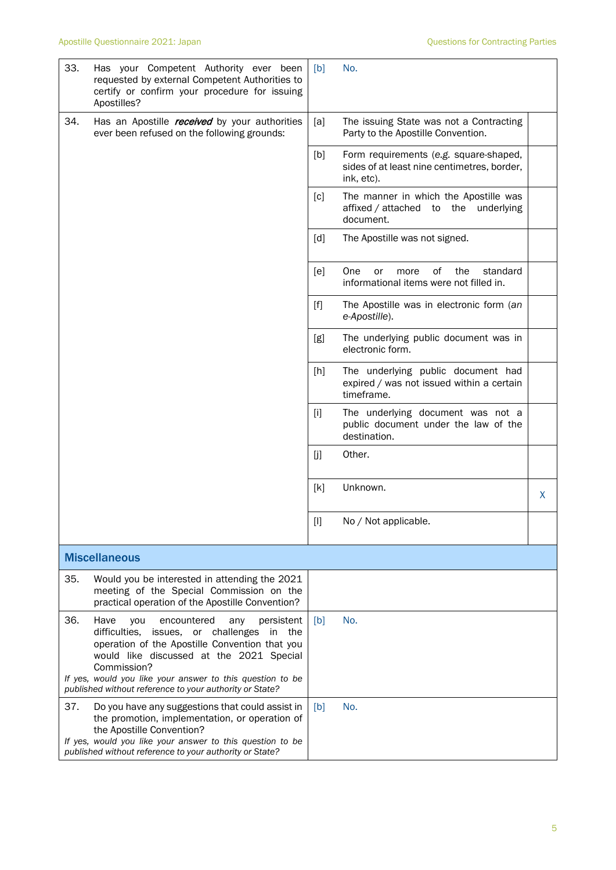| 33.                  | Has your Competent Authority ever been<br>requested by external Competent Authorities to<br>certify or confirm your procedure for issuing<br>Apostilles?                                                                                                                                                                              | [b]   | No.                                                                                                 |   |  |
|----------------------|---------------------------------------------------------------------------------------------------------------------------------------------------------------------------------------------------------------------------------------------------------------------------------------------------------------------------------------|-------|-----------------------------------------------------------------------------------------------------|---|--|
| 34.                  | Has an Apostille <i>received</i> by your authorities<br>ever been refused on the following grounds:                                                                                                                                                                                                                                   | [a]   | The issuing State was not a Contracting<br>Party to the Apostille Convention.                       |   |  |
|                      |                                                                                                                                                                                                                                                                                                                                       | [b]   | Form requirements (e.g. square-shaped,<br>sides of at least nine centimetres, border,<br>ink, etc). |   |  |
|                      |                                                                                                                                                                                                                                                                                                                                       | [c]   | The manner in which the Apostille was<br>affixed / attached to<br>the<br>underlying<br>document.    |   |  |
|                      |                                                                                                                                                                                                                                                                                                                                       | [d]   | The Apostille was not signed.                                                                       |   |  |
|                      |                                                                                                                                                                                                                                                                                                                                       | [e]   | One<br>οf<br>the<br>standard<br>or<br>more<br>informational items were not filled in.               |   |  |
|                      |                                                                                                                                                                                                                                                                                                                                       | $[f]$ | The Apostille was in electronic form (an<br>e-Apostille).                                           |   |  |
|                      |                                                                                                                                                                                                                                                                                                                                       | [g]   | The underlying public document was in<br>electronic form.                                           |   |  |
|                      |                                                                                                                                                                                                                                                                                                                                       | [h]   | The underlying public document had<br>expired / was not issued within a certain<br>timeframe.       |   |  |
|                      |                                                                                                                                                                                                                                                                                                                                       | $[1]$ | The underlying document was not a<br>public document under the law of the<br>destination.           |   |  |
|                      |                                                                                                                                                                                                                                                                                                                                       | [j]   | Other.                                                                                              |   |  |
|                      |                                                                                                                                                                                                                                                                                                                                       | [k]   | Unknown.                                                                                            | X |  |
|                      |                                                                                                                                                                                                                                                                                                                                       |       | No / Not applicable.                                                                                |   |  |
| <b>Miscellaneous</b> |                                                                                                                                                                                                                                                                                                                                       |       |                                                                                                     |   |  |
| 35.                  | Would you be interested in attending the 2021<br>meeting of the Special Commission on the<br>practical operation of the Apostille Convention?                                                                                                                                                                                         |       |                                                                                                     |   |  |
| 36.                  | Have<br>encountered<br>persistent<br>you<br>any<br>difficulties, issues, or challenges<br>in the<br>operation of the Apostille Convention that you<br>would like discussed at the 2021 Special<br>Commission?<br>If yes, would you like your answer to this question to be<br>published without reference to your authority or State? | [b]   | No.                                                                                                 |   |  |
| 37.                  | Do you have any suggestions that could assist in<br>the promotion, implementation, or operation of<br>the Apostille Convention?<br>If yes, would you like your answer to this question to be<br>published without reference to your authority or State?                                                                               | [b]   | No.                                                                                                 |   |  |